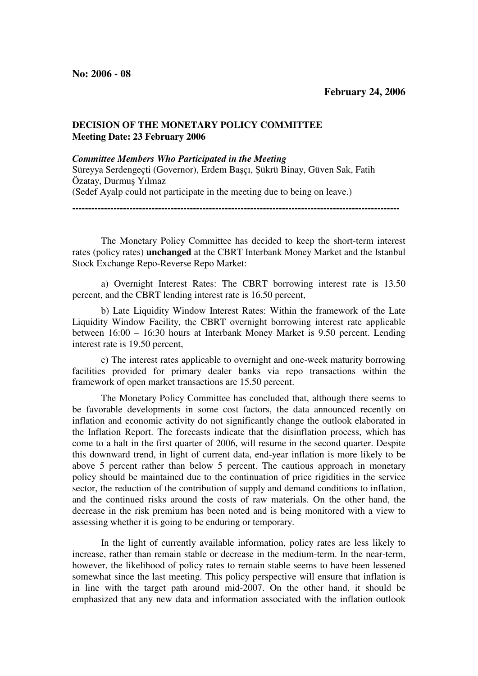## **DECISION OF THE MONETARY POLICY COMMITTEE Meeting Date: 23 February 2006**

## *Committee Members Who Participated in the Meeting*

Süreyya Serdengeçti (Governor), Erdem Başçı, Şükrü Binay, Güven Sak, Fatih Özatay, Durmuş Yılmaz (Sedef Ayalp could not participate in the meeting due to being on leave.) **-------------------------------------------------------------------------------------------------------** 

The Monetary Policy Committee has decided to keep the short-term interest rates (policy rates) **unchanged** at the CBRT Interbank Money Market and the Istanbul Stock Exchange Repo-Reverse Repo Market:

a) Overnight Interest Rates: The CBRT borrowing interest rate is 13.50 percent, and the CBRT lending interest rate is 16.50 percent,

b) Late Liquidity Window Interest Rates: Within the framework of the Late Liquidity Window Facility, the CBRT overnight borrowing interest rate applicable between 16:00 – 16:30 hours at Interbank Money Market is 9.50 percent. Lending interest rate is 19.50 percent,

c) The interest rates applicable to overnight and one-week maturity borrowing facilities provided for primary dealer banks via repo transactions within the framework of open market transactions are 15.50 percent.

The Monetary Policy Committee has concluded that, although there seems to be favorable developments in some cost factors, the data announced recently on inflation and economic activity do not significantly change the outlook elaborated in the Inflation Report. The forecasts indicate that the disinflation process, which has come to a halt in the first quarter of 2006, will resume in the second quarter. Despite this downward trend, in light of current data, end-year inflation is more likely to be above 5 percent rather than below 5 percent. The cautious approach in monetary policy should be maintained due to the continuation of price rigidities in the service sector, the reduction of the contribution of supply and demand conditions to inflation, and the continued risks around the costs of raw materials. On the other hand, the decrease in the risk premium has been noted and is being monitored with a view to assessing whether it is going to be enduring or temporary.

In the light of currently available information, policy rates are less likely to increase, rather than remain stable or decrease in the medium-term. In the near-term, however, the likelihood of policy rates to remain stable seems to have been lessened somewhat since the last meeting. This policy perspective will ensure that inflation is in line with the target path around mid-2007. On the other hand, it should be emphasized that any new data and information associated with the inflation outlook